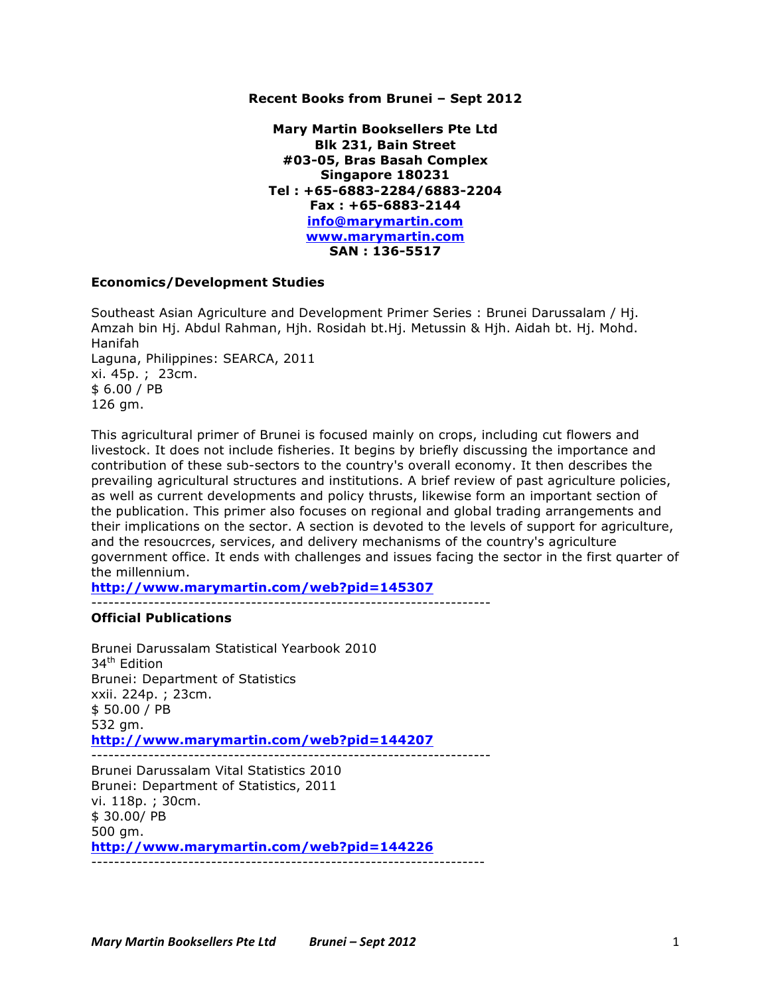## **Recent Books from Brunei – Sept 2012**

**Mary Martin Booksellers Pte Ltd Blk 231, Bain Street #03-05, Bras Basah Complex Singapore 180231 Tel : +65-6883-2284/6883-2204 Fax : +65-6883-2144 info@marymartin.com www.marymartin.com SAN : 136-5517**

## **Economics/Development Studies**

Southeast Asian Agriculture and Development Primer Series : Brunei Darussalam / Hj. Amzah bin Hj. Abdul Rahman, Hjh. Rosidah bt.Hj. Metussin & Hjh. Aidah bt. Hj. Mohd. Hanifah Laguna, Philippines: SEARCA, 2011 xi. 45p. ; 23cm. \$ 6.00 / PB 126 gm.

This agricultural primer of Brunei is focused mainly on crops, including cut flowers and livestock. It does not include fisheries. It begins by briefly discussing the importance and contribution of these sub-sectors to the country's overall economy. It then describes the prevailing agricultural structures and institutions. A brief review of past agriculture policies, as well as current developments and policy thrusts, likewise form an important section of the publication. This primer also focuses on regional and global trading arrangements and their implications on the sector. A section is devoted to the levels of support for agriculture, and the resoucrces, services, and delivery mechanisms of the country's agriculture government office. It ends with challenges and issues facing the sector in the first quarter of the millennium.

**http://www.marymartin.com/web?pid=145307** ----------------------------------------------------------------------

**Official Publications**

Brunei Darussalam Statistical Yearbook 2010 34<sup>th</sup> Edition Brunei: Department of Statistics xxii. 224p. ; 23cm. \$ 50.00 / PB 532 gm. **http://www.marymartin.com/web?pid=144207** ---------------------------------------------------------------------- Brunei Darussalam Vital Statistics 2010 Brunei: Department of Statistics, 2011 vi. 118p. ; 30cm. \$ 30.00/ PB 500 gm.

**http://www.marymartin.com/web?pid=144226** ---------------------------------------------------------------------